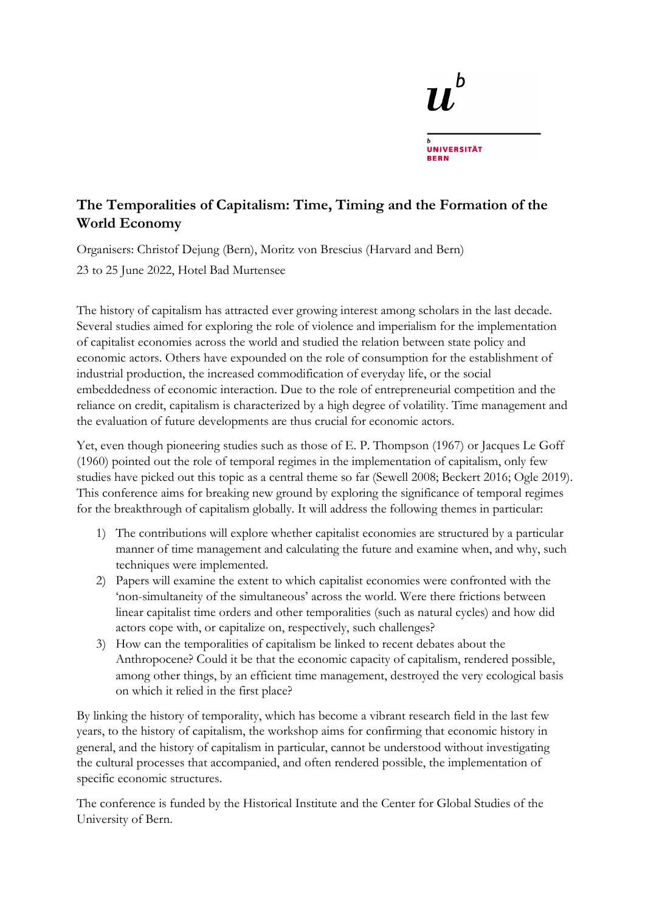# h **UNIVERSITÄT**

# **The Temporalities of Capitalism: Time, Timing and the Formation of the World Economy**

Organisers: Christof Dejung (Bern), Moritz von Brescius (Harvard and Bern)

23 to 25 June 2022, Hotel Bad Murtensee

The history of capitalism has attracted ever growing interest among scholars in the last decade. Several studies aimed for exploring the role of violence and imperialism for the implementation of capitalist economies across the world and studied the relation between state policy and economic actors. Others have expounded on the role of consumption for the establishment of industrial production, the increased commodification of everyday life, or the social embeddedness of economic interaction. Due to the role of entrepreneurial competition and the reliance on credit, capitalism is characterized by a high degree of volatility. Time management and the evaluation of future developments are thus crucial for economic actors.

Yet, even though pioneering studies such as those of E. P. Thompson (1967) or Jacques Le Goff (1960) pointed out the role of temporal regimes in the implementation of capitalism, only few studies have picked out this topic as a central theme so far (Sewell 2008; Beckert 2016; Ogle 2019). This conference aims for breaking new ground by exploring the significance of temporal regimes for the breakthrough of capitalism globally. It will address the following themes in particular:

- 1) The contributions will explore whether capitalist economies are structured by a particular manner of time management and calculating the future and examine when, and why, such techniques were implemented.
- 2) Papers will examine the extent to which capitalist economies were confronted with the 'non-simultaneity of the simultaneous' across the world. Were there frictions between linear capitalist time orders and other temporalities (such as natural cycles) and how did actors cope with, or capitalize on, respectively, such challenges?
- 3) How can the temporalities of capitalism be linked to recent debates about the Anthropocene? Could it be that the economic capacity of capitalism, rendered possible, among other things, by an efficient time management, destroyed the very ecological basis on which it relied in the first place?

By linking the history of temporality, which has become a vibrant research field in the last few years, to the history of capitalism, the workshop aims for confirming that economic history in general, and the history of capitalism in particular, cannot be understood without investigating the cultural processes that accompanied, and often rendered possible, the implementation of specific economic structures.

The conference is funded by the Historical Institute and the Center for Global Studies of the University of Bern.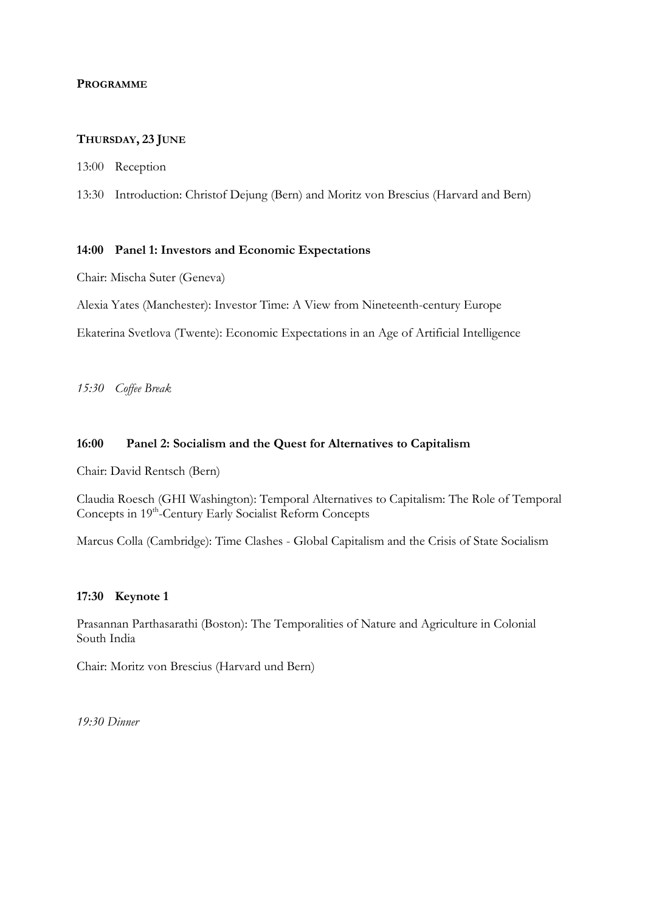# **PROGRAMME**

#### **THURSDAY, 23 JUNE**

13:00 Reception

13:30 Introduction: Christof Dejung (Bern) and Moritz von Brescius (Harvard and Bern)

#### **14:00 Panel 1: Investors and Economic Expectations**

Chair: Mischa Suter (Geneva)

Alexia Yates (Manchester): Investor Time: A View from Nineteenth-century Europe

Ekaterina Svetlova (Twente): Economic Expectations in an Age of Artificial Intelligence

*15:30 Coffee Break*

#### **16:00 Panel 2: Socialism and the Quest for Alternatives to Capitalism**

Chair: David Rentsch (Bern)

Claudia Roesch (GHI Washington): Temporal Alternatives to Capitalism: The Role of Temporal Concepts in 19<sup>th</sup>-Century Early Socialist Reform Concepts

Marcus Colla (Cambridge): Time Clashes - Global Capitalism and the Crisis of State Socialism

#### **17:30 Keynote 1**

Prasannan Parthasarathi (Boston): The Temporalities of Nature and Agriculture in Colonial South India

Chair: Moritz von Brescius (Harvard und Bern)

*19:30 Dinner*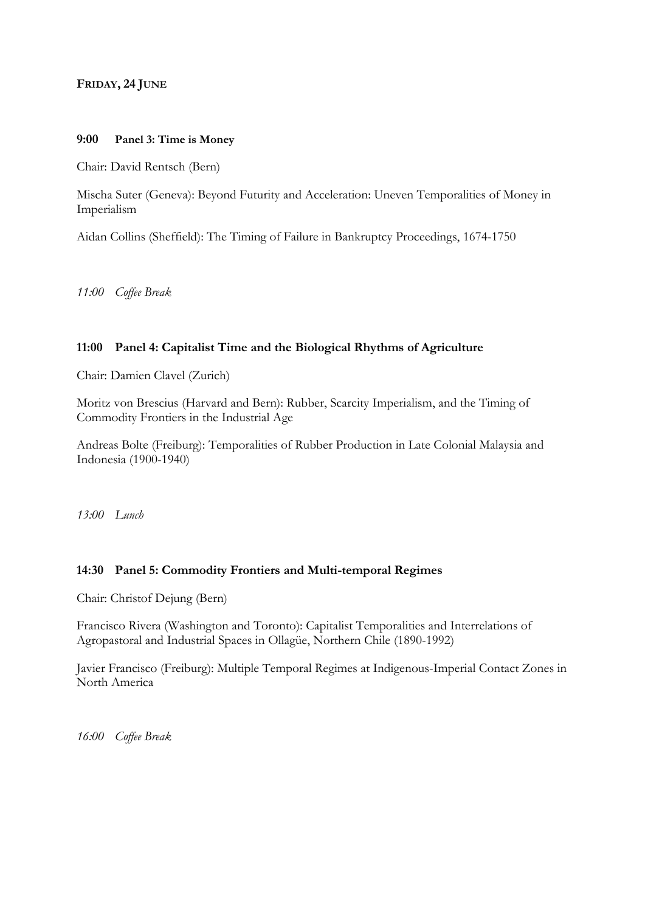# **FRIDAY, 24 JUNE**

#### **9:00 Panel 3: Time is Money**

Chair: David Rentsch (Bern)

Mischa Suter (Geneva): Beyond Futurity and Acceleration: Uneven Temporalities of Money in Imperialism

Aidan Collins (Sheffield): The Timing of Failure in Bankruptcy Proceedings, 1674-1750

*11:00 Coffee Break* 

# **11:00 Panel 4: Capitalist Time and the Biological Rhythms of Agriculture**

Chair: Damien Clavel (Zurich)

Moritz von Brescius (Harvard and Bern): Rubber, Scarcity Imperialism, and the Timing of Commodity Frontiers in the Industrial Age

Andreas Bolte (Freiburg): Temporalities of Rubber Production in Late Colonial Malaysia and Indonesia (1900-1940)

*13:00 Lunch*

# **14:30 Panel 5: Commodity Frontiers and Multi-temporal Regimes**

Chair: Christof Dejung (Bern)

Francisco Rivera (Washington and Toronto): Capitalist Temporalities and Interrelations of Agropastoral and Industrial Spaces in Ollagüe, Northern Chile (1890-1992)

Javier Francisco (Freiburg): Multiple Temporal Regimes at Indigenous-Imperial Contact Zones in North America

*16:00 Coffee Break*